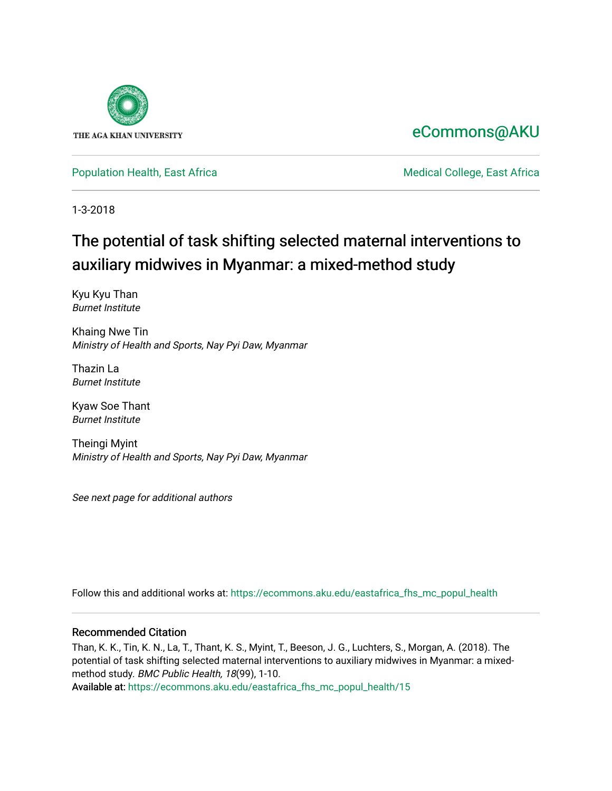

## [eCommons@AKU](https://ecommons.aku.edu/)

[Population Health, East Africa](https://ecommons.aku.edu/eastafrica_fhs_mc_popul_health) **Medical College, East Africa** Medical College, East Africa

1-3-2018

# The potential of task shifting selected maternal interventions to auxiliary midwives in Myanmar: a mixed-method study

Kyu Kyu Than Burnet Institute

Khaing Nwe Tin Ministry of Health and Sports, Nay Pyi Daw, Myanmar

Thazin La Burnet Institute

Kyaw Soe Thant Burnet Institute

Theingi Myint Ministry of Health and Sports, Nay Pyi Daw, Myanmar

See next page for additional authors

Follow this and additional works at: [https://ecommons.aku.edu/eastafrica\\_fhs\\_mc\\_popul\\_health](https://ecommons.aku.edu/eastafrica_fhs_mc_popul_health?utm_source=ecommons.aku.edu%2Feastafrica_fhs_mc_popul_health%2F15&utm_medium=PDF&utm_campaign=PDFCoverPages)

## Recommended Citation

Than, K. K., Tin, K. N., La, T., Thant, K. S., Myint, T., Beeson, J. G., Luchters, S., Morgan, A. (2018). The potential of task shifting selected maternal interventions to auxiliary midwives in Myanmar: a mixedmethod study. BMC Public Health, 18(99), 1-10.

Available at: [https://ecommons.aku.edu/eastafrica\\_fhs\\_mc\\_popul\\_health/15](https://ecommons.aku.edu/eastafrica_fhs_mc_popul_health/15)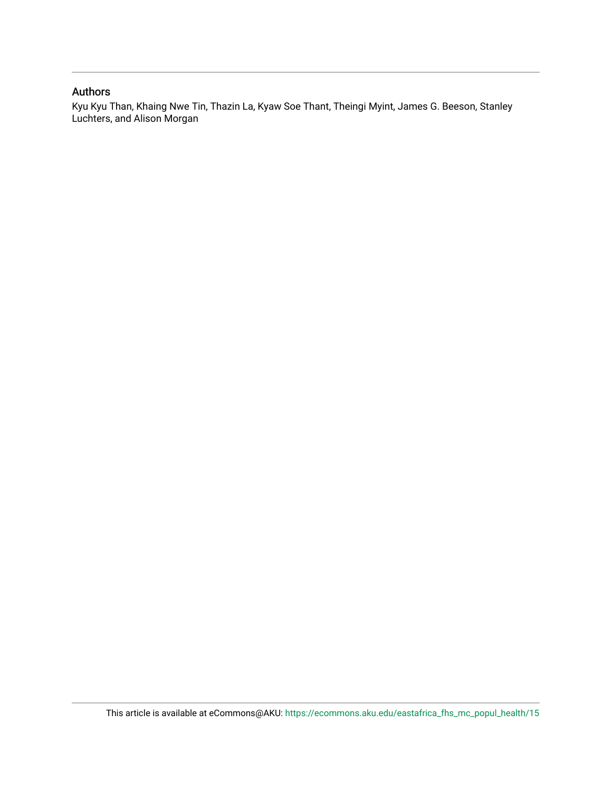## Authors

Kyu Kyu Than, Khaing Nwe Tin, Thazin La, Kyaw Soe Thant, Theingi Myint, James G. Beeson, Stanley Luchters, and Alison Morgan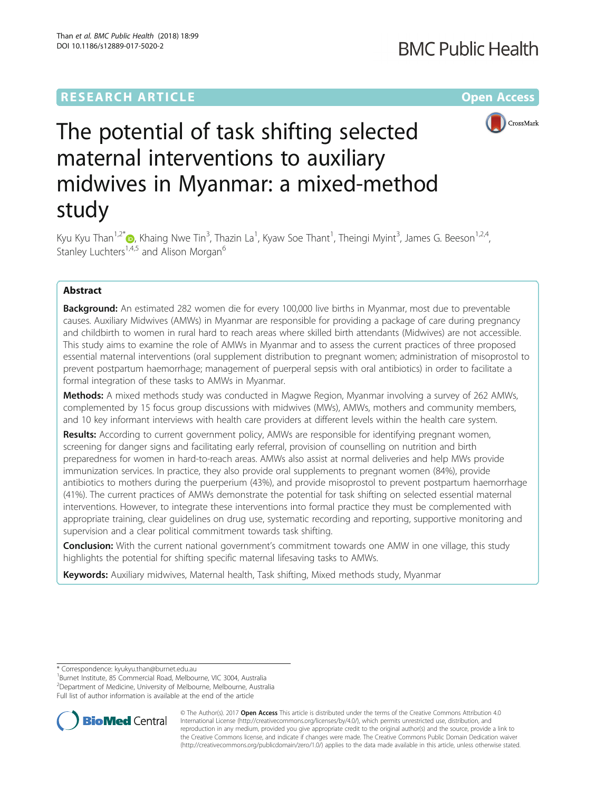## **RESEARCH ARTICLE Example 2014 12:30 The Company Access** (RESEARCH ARTICLE



# The potential of task shifting selected maternal interventions to auxiliary midwives in Myanmar: a mixed-method study

Kyu Kyu Than<sup>1,2\*</sup>®, Khaing Nwe Tin<sup>3</sup>, Thazin La<sup>1</sup>, Kyaw Soe Thant<sup>1</sup>, Theingi Myint<sup>3</sup>, James G. Beeson<sup>1,2,4</sup>, Stanley Luchters<sup>1,4,5</sup> and Alison Morgan<sup>6</sup>

### Abstract

Background: An estimated 282 women die for every 100,000 live births in Myanmar, most due to preventable causes. Auxiliary Midwives (AMWs) in Myanmar are responsible for providing a package of care during pregnancy and childbirth to women in rural hard to reach areas where skilled birth attendants (Midwives) are not accessible. This study aims to examine the role of AMWs in Myanmar and to assess the current practices of three proposed essential maternal interventions (oral supplement distribution to pregnant women; administration of misoprostol to prevent postpartum haemorrhage; management of puerperal sepsis with oral antibiotics) in order to facilitate a formal integration of these tasks to AMWs in Myanmar.

Methods: A mixed methods study was conducted in Magwe Region, Myanmar involving a survey of 262 AMWs, complemented by 15 focus group discussions with midwives (MWs), AMWs, mothers and community members, and 10 key informant interviews with health care providers at different levels within the health care system.

Results: According to current government policy, AMWs are responsible for identifying pregnant women, screening for danger signs and facilitating early referral, provision of counselling on nutrition and birth preparedness for women in hard-to-reach areas. AMWs also assist at normal deliveries and help MWs provide immunization services. In practice, they also provide oral supplements to pregnant women (84%), provide antibiotics to mothers during the puerperium (43%), and provide misoprostol to prevent postpartum haemorrhage (41%). The current practices of AMWs demonstrate the potential for task shifting on selected essential maternal interventions. However, to integrate these interventions into formal practice they must be complemented with appropriate training, clear guidelines on drug use, systematic recording and reporting, supportive monitoring and supervision and a clear political commitment towards task shifting.

**Conclusion:** With the current national government's commitment towards one AMW in one village, this study highlights the potential for shifting specific maternal lifesaving tasks to AMWs.

Keywords: Auxiliary midwives, Maternal health, Task shifting, Mixed methods study, Myanmar

\* Correspondence: [kyukyu.than@burnet.edu.au](mailto:kyukyu.than@burnet.edu.au) <sup>1</sup>

<sup>1</sup>Burnet Institute, 85 Commercial Road, Melbourne, VIC 3004, Australia <sup>2</sup>Department of Medicine, University of Melbourne, Melbourne, Australia

Full list of author information is available at the end of the article



© The Author(s). 2017 **Open Access** This article is distributed under the terms of the Creative Commons Attribution 4.0 International License [\(http://creativecommons.org/licenses/by/4.0/](http://creativecommons.org/licenses/by/4.0/)), which permits unrestricted use, distribution, and reproduction in any medium, provided you give appropriate credit to the original author(s) and the source, provide a link to the Creative Commons license, and indicate if changes were made. The Creative Commons Public Domain Dedication waiver [\(http://creativecommons.org/publicdomain/zero/1.0/](http://creativecommons.org/publicdomain/zero/1.0/)) applies to the data made available in this article, unless otherwise stated.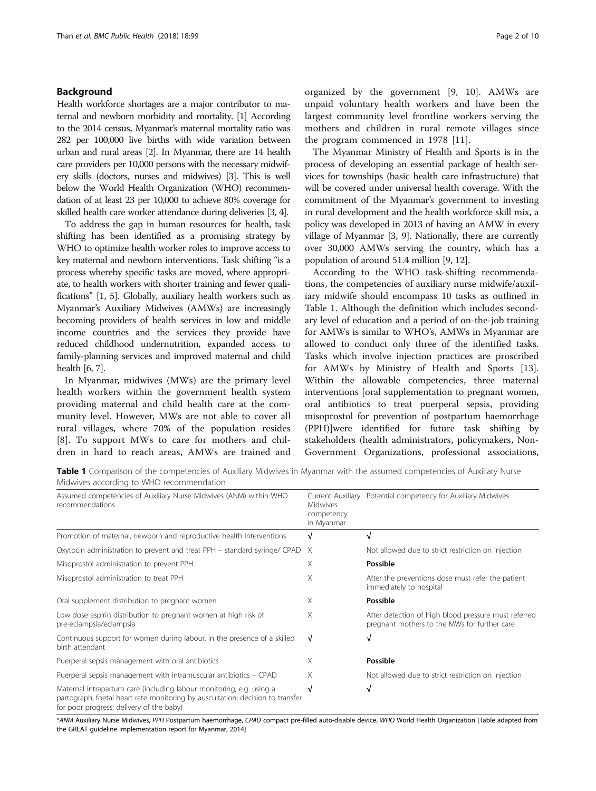#### Background

Health workforce shortages are a major contributor to maternal and newborn morbidity and mortality. [\[1](#page-11-0)] According to the 2014 census, Myanmar's maternal mortality ratio was 282 per 100,000 live births with wide variation between urban and rural areas [\[2](#page-11-0)]. In Myanmar, there are 14 health care providers per 10,000 persons with the necessary midwifery skills (doctors, nurses and midwives) [\[3](#page-11-0)]. This is well below the World Health Organization (WHO) recommendation of at least 23 per 10,000 to achieve 80% coverage for skilled health care worker attendance during deliveries [\[3](#page-11-0), [4\]](#page-11-0).

To address the gap in human resources for health, task shifting has been identified as a promising strategy by WHO to optimize health worker roles to improve access to key maternal and newborn interventions. Task shifting "is a process whereby specific tasks are moved, where appropriate, to health workers with shorter training and fewer qualifications" [\[1](#page-11-0), [5\]](#page-11-0). Globally, auxiliary health workers such as Myanmar's Auxiliary Midwives (AMWs) are increasingly becoming providers of health services in low and middle income countries and the services they provide have reduced childhood undernutrition, expanded access to family-planning services and improved maternal and child health [\[6](#page-11-0), [7](#page-11-0)].

In Myanmar, midwives (MWs) are the primary level health workers within the government health system providing maternal and child health care at the community level. However, MWs are not able to cover all rural villages, where 70% of the population resides [[8\]](#page-11-0). To support MWs to care for mothers and children in hard to reach areas, AMWs are trained and organized by the government [[9, 10](#page-11-0)]. AMWs are unpaid voluntary health workers and have been the largest community level frontline workers serving the mothers and children in rural remote villages since the program commenced in 1978 [[11](#page-11-0)].

The Myanmar Ministry of Health and Sports is in the process of developing an essential package of health services for townships (basic health care infrastructure) that will be covered under universal health coverage. With the commitment of the Myanmar's government to investing in rural development and the health workforce skill mix, a policy was developed in 2013 of having an AMW in every village of Myanmar [[3, 9](#page-11-0)]. Nationally, there are currently over 30,000 AMWs serving the country, which has a population of around 51.4 million [\[9](#page-11-0), [12\]](#page-11-0).

According to the WHO task-shifting recommendations, the competencies of auxiliary nurse midwife/auxiliary midwife should encompass 10 tasks as outlined in Table 1. Although the definition which includes secondary level of education and a period of on-the-job training for AMWs is similar to WHO's, AMWs in Myanmar are allowed to conduct only three of the identified tasks. Tasks which involve injection practices are proscribed for AMWs by Ministry of Health and Sports [\[13](#page-11-0)]. Within the allowable competencies, three maternal interventions [oral supplementation to pregnant women, oral antibiotics to treat puerperal sepsis, providing misoprostol for prevention of postpartum haemorrhage (PPH)]were identified for future task shifting by stakeholders (health administrators, policymakers, Non-Government Organizations, professional associations,

Table 1 Comparison of the competencies of Auxiliary Midwives in Myanmar with the assumed competencies of Auxiliary Nurse Midwives according to WHO recommendation

| Assumed competencies of Auxiliary Nurse Midwives (ANM) within WHO<br>recommendations                                                                                                               | <b>Midwives</b><br>competency<br>in Myanmar | Current Auxiliary Potential competency for Auxiliary Midwives                                        |
|----------------------------------------------------------------------------------------------------------------------------------------------------------------------------------------------------|---------------------------------------------|------------------------------------------------------------------------------------------------------|
| Promotion of maternal, newborn and reproductive health interventions                                                                                                                               | V                                           | √                                                                                                    |
| Oxytocin administration to prevent and treat PPH - standard syringe/ CPAD                                                                                                                          | X                                           | Not allowed due to strict restriction on injection                                                   |
| Misoprostol administration to prevent PPH                                                                                                                                                          | Χ                                           | Possible                                                                                             |
| Misoprostol administration to treat PPH                                                                                                                                                            | X                                           | After the preventions dose must refer the patient<br>immediately to hospital                         |
| Oral supplement distribution to pregnant women                                                                                                                                                     | X                                           | Possible                                                                                             |
| Low dose aspirin distribution to pregnant women at high risk of<br>pre-eclampsia/eclampsia                                                                                                         | X                                           | After detection of high blood pressure must referred<br>pregnant mothers to the MWs for further care |
| Continuous support for women during labour, in the presence of a skilled<br>birth attendant                                                                                                        | √                                           | √                                                                                                    |
| Puerperal sepsis management with oral antibiotics                                                                                                                                                  | Χ                                           | Possible                                                                                             |
| Puerperal sepsis management with intramuscular antibiotics - CPAD                                                                                                                                  | Χ                                           | Not allowed due to strict restriction on injection                                                   |
| Maternal intrapartum care (including labour monitoring, e.g. using a<br>partograph; foetal heart rate monitoring by auscultation; decision to transfer<br>for poor progress; delivery of the baby) |                                             | √                                                                                                    |

\*ANM Auxiliary Nurse Midwives, PPH Postpartum haemorrhage, CPAD compact pre-filled auto-disable device, WHO World Health Organization [Table adapted from the GREAT guideline implementation report for Myanmar, 2014]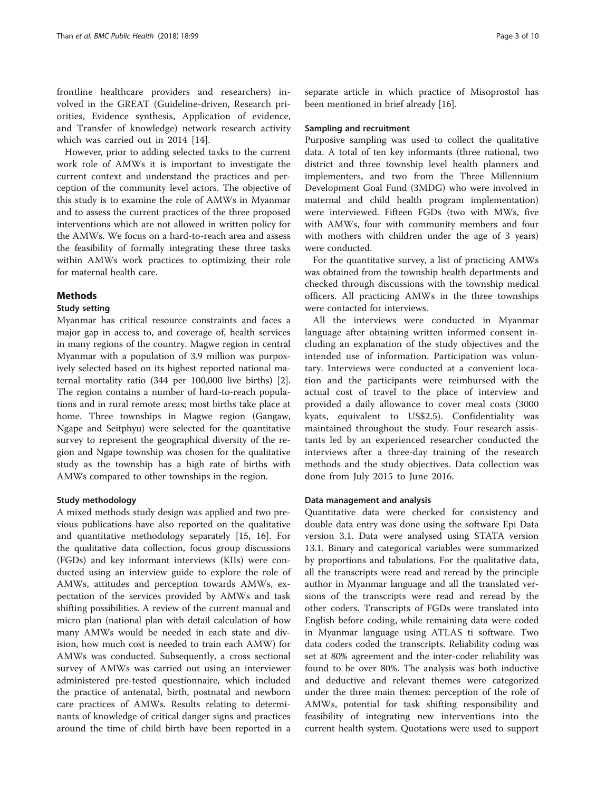frontline healthcare providers and researchers) involved in the GREAT (Guideline-driven, Research priorities, Evidence synthesis, Application of evidence, and Transfer of knowledge) network research activity which was carried out in 2014 [[14\]](#page-11-0).

However, prior to adding selected tasks to the current work role of AMWs it is important to investigate the current context and understand the practices and perception of the community level actors. The objective of this study is to examine the role of AMWs in Myanmar and to assess the current practices of the three proposed interventions which are not allowed in written policy for the AMWs. We focus on a hard-to-reach area and assess the feasibility of formally integrating these three tasks within AMWs work practices to optimizing their role for maternal health care.

#### Methods

#### Study setting

Myanmar has critical resource constraints and faces a major gap in access to, and coverage of, health services in many regions of the country. Magwe region in central Myanmar with a population of 3.9 million was purposively selected based on its highest reported national maternal mortality ratio (344 per 100,000 live births) [\[2](#page-11-0)]. The region contains a number of hard-to-reach populations and in rural remote areas; most births take place at home. Three townships in Magwe region (Gangaw, Ngape and Seitphyu) were selected for the quantitative survey to represent the geographical diversity of the region and Ngape township was chosen for the qualitative study as the township has a high rate of births with AMWs compared to other townships in the region.

#### Study methodology

A mixed methods study design was applied and two previous publications have also reported on the qualitative and quantitative methodology separately [[15](#page-11-0), [16\]](#page-11-0). For the qualitative data collection, focus group discussions (FGDs) and key informant interviews (KIIs) were conducted using an interview guide to explore the role of AMWs, attitudes and perception towards AMWs, expectation of the services provided by AMWs and task shifting possibilities. A review of the current manual and micro plan (national plan with detail calculation of how many AMWs would be needed in each state and division, how much cost is needed to train each AMW) for AMWs was conducted. Subsequently, a cross sectional survey of AMWs was carried out using an interviewer administered pre-tested questionnaire, which included the practice of antenatal, birth, postnatal and newborn care practices of AMWs. Results relating to determinants of knowledge of critical danger signs and practices around the time of child birth have been reported in a

separate article in which practice of Misoprostol has been mentioned in brief already [\[16](#page-11-0)].

#### Sampling and recruitment

Purposive sampling was used to collect the qualitative data. A total of ten key informants (three national, two district and three township level health planners and implementers, and two from the Three Millennium Development Goal Fund (3MDG) who were involved in maternal and child health program implementation) were interviewed. Fifteen FGDs (two with MWs, five with AMWs, four with community members and four with mothers with children under the age of 3 years) were conducted.

For the quantitative survey, a list of practicing AMWs was obtained from the township health departments and checked through discussions with the township medical officers. All practicing AMWs in the three townships were contacted for interviews.

All the interviews were conducted in Myanmar language after obtaining written informed consent including an explanation of the study objectives and the intended use of information. Participation was voluntary. Interviews were conducted at a convenient location and the participants were reimbursed with the actual cost of travel to the place of interview and provided a daily allowance to cover meal costs (3000 kyats, equivalent to US\$2.5). Confidentiality was maintained throughout the study. Four research assistants led by an experienced researcher conducted the interviews after a three-day training of the research methods and the study objectives. Data collection was done from July 2015 to June 2016.

#### Data management and analysis

Quantitative data were checked for consistency and double data entry was done using the software Epi Data version 3.1. Data were analysed using STATA version 13.1. Binary and categorical variables were summarized by proportions and tabulations. For the qualitative data, all the transcripts were read and reread by the principle author in Myanmar language and all the translated versions of the transcripts were read and reread by the other coders. Transcripts of FGDs were translated into English before coding, while remaining data were coded in Myanmar language using ATLAS ti software. Two data coders coded the transcripts. Reliability coding was set at 80% agreement and the inter-coder reliability was found to be over 80%. The analysis was both inductive and deductive and relevant themes were categorized under the three main themes: perception of the role of AMWs, potential for task shifting responsibility and feasibility of integrating new interventions into the current health system. Quotations were used to support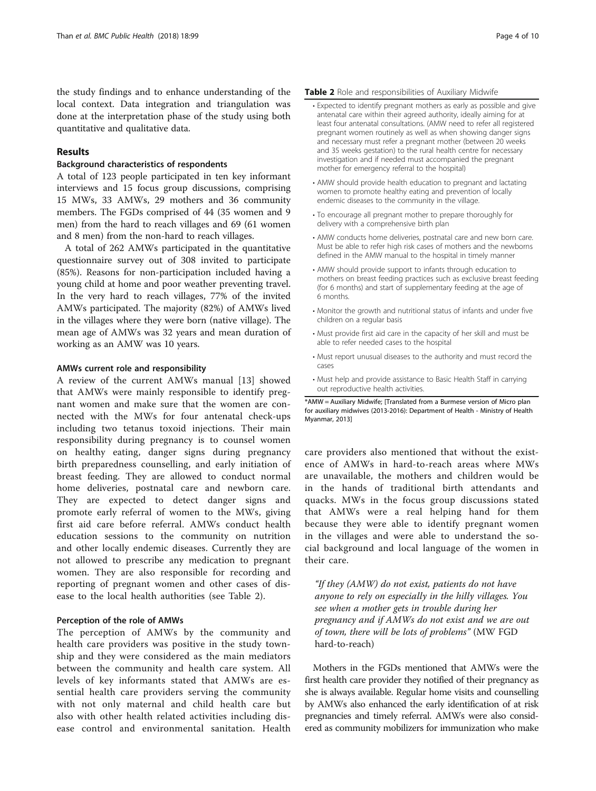the study findings and to enhance understanding of the local context. Data integration and triangulation was done at the interpretation phase of the study using both quantitative and qualitative data.

#### Results

#### Background characteristics of respondents

A total of 123 people participated in ten key informant interviews and 15 focus group discussions, comprising 15 MWs, 33 AMWs, 29 mothers and 36 community members. The FGDs comprised of 44 (35 women and 9 men) from the hard to reach villages and 69 (61 women and 8 men) from the non-hard to reach villages.

A total of 262 AMWs participated in the quantitative questionnaire survey out of 308 invited to participate (85%). Reasons for non-participation included having a young child at home and poor weather preventing travel. In the very hard to reach villages, 77% of the invited AMWs participated. The majority (82%) of AMWs lived in the villages where they were born (native village). The mean age of AMWs was 32 years and mean duration of working as an AMW was 10 years.

#### AMWs current role and responsibility

A review of the current AMWs manual [\[13](#page-11-0)] showed that AMWs were mainly responsible to identify pregnant women and make sure that the women are connected with the MWs for four antenatal check-ups including two tetanus toxoid injections. Their main responsibility during pregnancy is to counsel women on healthy eating, danger signs during pregnancy birth preparedness counselling, and early initiation of breast feeding. They are allowed to conduct normal home deliveries, postnatal care and newborn care. They are expected to detect danger signs and promote early referral of women to the MWs, giving first aid care before referral. AMWs conduct health education sessions to the community on nutrition and other locally endemic diseases. Currently they are not allowed to prescribe any medication to pregnant women. They are also responsible for recording and reporting of pregnant women and other cases of disease to the local health authorities (see Table 2).

#### Perception of the role of AMWs

The perception of AMWs by the community and health care providers was positive in the study township and they were considered as the main mediators between the community and health care system. All levels of key informants stated that AMWs are essential health care providers serving the community with not only maternal and child health care but also with other health related activities including disease control and environmental sanitation. Health

#### Table 2 Role and responsibilities of Auxiliary Midwife

- Expected to identify pregnant mothers as early as possible and give antenatal care within their agreed authority, ideally aiming for at least four antenatal consultations. (AMW need to refer all registered pregnant women routinely as well as when showing danger signs and necessary must refer a pregnant mother (between 20 weeks and 35 weeks gestation) to the rural health centre for necessary investigation and if needed must accompanied the pregnant mother for emergency referral to the hospital)
- AMW should provide health education to pregnant and lactating women to promote healthy eating and prevention of locally endemic diseases to the community in the village.
- To encourage all pregnant mother to prepare thoroughly for delivery with a comprehensive birth plan
- AMW conducts home deliveries, postnatal care and new born care. Must be able to refer high risk cases of mothers and the newborns defined in the AMW manual to the hospital in timely manner
- AMW should provide support to infants through education to mothers on breast feeding practices such as exclusive breast feeding (for 6 months) and start of supplementary feeding at the age of 6 months.
- Monitor the growth and nutritional status of infants and under five children on a regular basis
- Must provide first aid care in the capacity of her skill and must be able to refer needed cases to the hospital
- Must report unusual diseases to the authority and must record the cases
- Must help and provide assistance to Basic Health Staff in carrying out reproductive health activities.

\*AMW = Auxiliary Midwife; [Translated from a Burmese version of Micro plan for auxiliary midwives (2013-2016): Department of Health - Ministry of Health Myanmar, 2013]

care providers also mentioned that without the existence of AMWs in hard-to-reach areas where MWs are unavailable, the mothers and children would be in the hands of traditional birth attendants and quacks. MWs in the focus group discussions stated that AMWs were a real helping hand for them because they were able to identify pregnant women in the villages and were able to understand the social background and local language of the women in their care.

"If they (AMW) do not exist, patients do not have anyone to rely on especially in the hilly villages. You see when a mother gets in trouble during her pregnancy and if AMWs do not exist and we are out of town, there will be lots of problems" (MW FGD hard-to-reach)

Mothers in the FGDs mentioned that AMWs were the first health care provider they notified of their pregnancy as she is always available. Regular home visits and counselling by AMWs also enhanced the early identification of at risk pregnancies and timely referral. AMWs were also considered as community mobilizers for immunization who make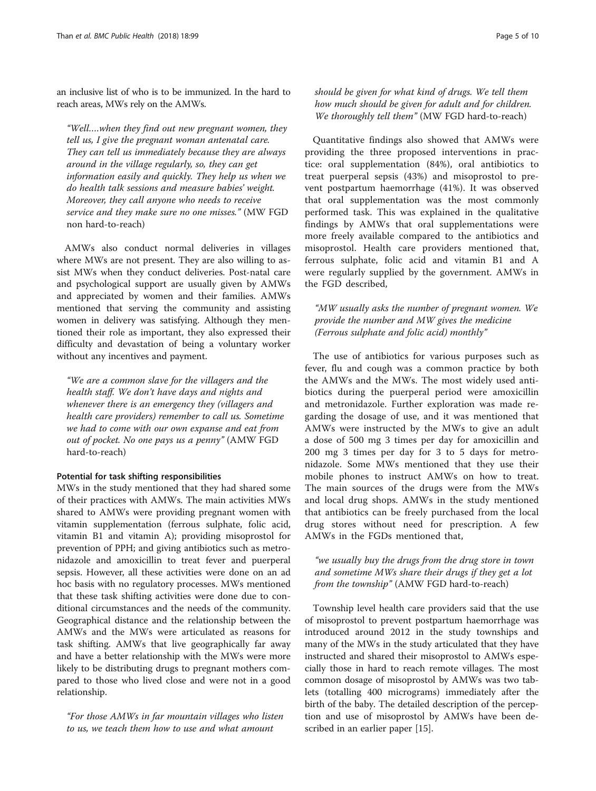an inclusive list of who is to be immunized. In the hard to reach areas, MWs rely on the AMWs.

"Well….when they find out new pregnant women, they tell us, I give the pregnant woman antenatal care. They can tell us immediately because they are always around in the village regularly, so, they can get information easily and quickly. They help us when we do health talk sessions and measure babies' weight. Moreover, they call anyone who needs to receive service and they make sure no one misses." (MW FGD non hard-to-reach)

AMWs also conduct normal deliveries in villages where MWs are not present. They are also willing to assist MWs when they conduct deliveries. Post-natal care and psychological support are usually given by AMWs and appreciated by women and their families. AMWs mentioned that serving the community and assisting women in delivery was satisfying. Although they mentioned their role as important, they also expressed their difficulty and devastation of being a voluntary worker without any incentives and payment.

"We are a common slave for the villagers and the health staff. We don't have days and nights and whenever there is an emergency they (villagers and health care providers) remember to call us. Sometime we had to come with our own expanse and eat from out of pocket. No one pays us a penny" (AMW FGD hard-to-reach)

#### Potential for task shifting responsibilities

MWs in the study mentioned that they had shared some of their practices with AMWs. The main activities MWs shared to AMWs were providing pregnant women with vitamin supplementation (ferrous sulphate, folic acid, vitamin B1 and vitamin A); providing misoprostol for prevention of PPH; and giving antibiotics such as metronidazole and amoxicillin to treat fever and puerperal sepsis. However, all these activities were done on an ad hoc basis with no regulatory processes. MWs mentioned that these task shifting activities were done due to conditional circumstances and the needs of the community. Geographical distance and the relationship between the AMWs and the MWs were articulated as reasons for task shifting. AMWs that live geographically far away and have a better relationship with the MWs were more likely to be distributing drugs to pregnant mothers compared to those who lived close and were not in a good relationship.

"For those AMWs in far mountain villages who listen to us, we teach them how to use and what amount

should be given for what kind of drugs. We tell them how much should be given for adult and for children. We thoroughly tell them" (MW FGD hard-to-reach)

Quantitative findings also showed that AMWs were providing the three proposed interventions in practice: oral supplementation (84%), oral antibiotics to treat puerperal sepsis (43%) and misoprostol to prevent postpartum haemorrhage (41%). It was observed that oral supplementation was the most commonly performed task. This was explained in the qualitative findings by AMWs that oral supplementations were more freely available compared to the antibiotics and misoprostol. Health care providers mentioned that, ferrous sulphate, folic acid and vitamin B1 and A were regularly supplied by the government. AMWs in the FGD described,

"MW usually asks the number of pregnant women. We provide the number and MW gives the medicine (Ferrous sulphate and folic acid) monthly"

The use of antibiotics for various purposes such as fever, flu and cough was a common practice by both the AMWs and the MWs. The most widely used antibiotics during the puerperal period were amoxicillin and metronidazole. Further exploration was made regarding the dosage of use, and it was mentioned that AMWs were instructed by the MWs to give an adult a dose of 500 mg 3 times per day for amoxicillin and 200 mg 3 times per day for 3 to 5 days for metronidazole. Some MWs mentioned that they use their mobile phones to instruct AMWs on how to treat. The main sources of the drugs were from the MWs and local drug shops. AMWs in the study mentioned that antibiotics can be freely purchased from the local drug stores without need for prescription. A few AMWs in the FGDs mentioned that,

"we usually buy the drugs from the drug store in town and sometime MWs share their drugs if they get a lot from the township" (AMW FGD hard-to-reach)

Township level health care providers said that the use of misoprostol to prevent postpartum haemorrhage was introduced around 2012 in the study townships and many of the MWs in the study articulated that they have instructed and shared their misoprostol to AMWs especially those in hard to reach remote villages. The most common dosage of misoprostol by AMWs was two tablets (totalling 400 micrograms) immediately after the birth of the baby. The detailed description of the perception and use of misoprostol by AMWs have been described in an earlier paper [\[15\]](#page-11-0).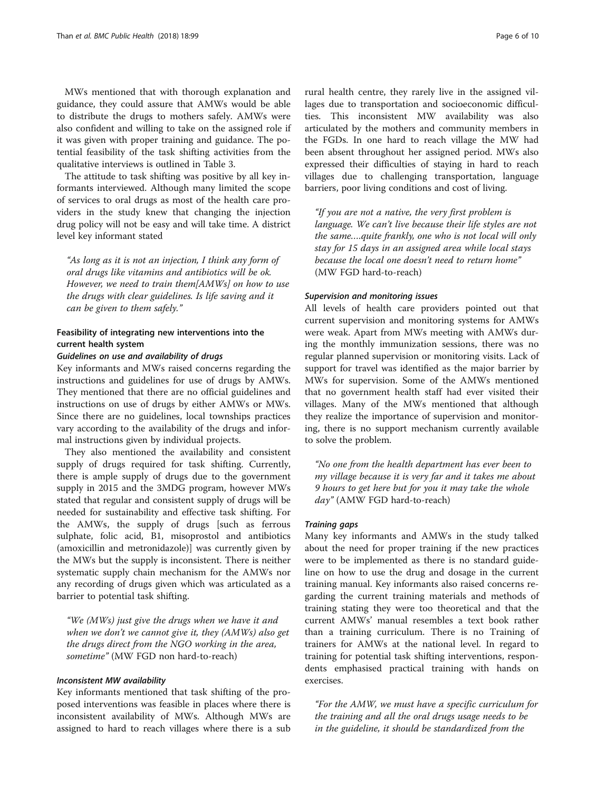MWs mentioned that with thorough explanation and guidance, they could assure that AMWs would be able to distribute the drugs to mothers safely. AMWs were also confident and willing to take on the assigned role if it was given with proper training and guidance. The potential feasibility of the task shifting activities from the qualitative interviews is outlined in Table [3](#page-8-0).

The attitude to task shifting was positive by all key informants interviewed. Although many limited the scope of services to oral drugs as most of the health care providers in the study knew that changing the injection drug policy will not be easy and will take time. A district level key informant stated

"As long as it is not an injection, I think any form of oral drugs like vitamins and antibiotics will be ok. However, we need to train them[AMWs] on how to use the drugs with clear guidelines. Is life saving and it can be given to them safely."

#### Feasibility of integrating new interventions into the current health system

#### Guidelines on use and availability of drugs

Key informants and MWs raised concerns regarding the instructions and guidelines for use of drugs by AMWs. They mentioned that there are no official guidelines and instructions on use of drugs by either AMWs or MWs. Since there are no guidelines, local townships practices vary according to the availability of the drugs and informal instructions given by individual projects.

They also mentioned the availability and consistent supply of drugs required for task shifting. Currently, there is ample supply of drugs due to the government supply in 2015 and the 3MDG program, however MWs stated that regular and consistent supply of drugs will be needed for sustainability and effective task shifting. For the AMWs, the supply of drugs [such as ferrous sulphate, folic acid, B1, misoprostol and antibiotics (amoxicillin and metronidazole)] was currently given by the MWs but the supply is inconsistent. There is neither systematic supply chain mechanism for the AMWs nor any recording of drugs given which was articulated as a barrier to potential task shifting.

"We (MWs) just give the drugs when we have it and when we don't we cannot give it, they (AMWs) also get the drugs direct from the NGO working in the area, sometime" (MW FGD non hard-to-reach)

#### Inconsistent MW availability

Key informants mentioned that task shifting of the proposed interventions was feasible in places where there is inconsistent availability of MWs. Although MWs are assigned to hard to reach villages where there is a sub

rural health centre, they rarely live in the assigned villages due to transportation and socioeconomic difficulties. This inconsistent MW availability was also articulated by the mothers and community members in the FGDs. In one hard to reach village the MW had been absent throughout her assigned period. MWs also expressed their difficulties of staying in hard to reach villages due to challenging transportation, language barriers, poor living conditions and cost of living.

"If you are not a native, the very first problem is language. We can't live because their life styles are not the same….quite frankly, one who is not local will only stay for 15 days in an assigned area while local stays because the local one doesn't need to return home" (MW FGD hard-to-reach)

#### Supervision and monitoring issues

All levels of health care providers pointed out that current supervision and monitoring systems for AMWs were weak. Apart from MWs meeting with AMWs during the monthly immunization sessions, there was no regular planned supervision or monitoring visits. Lack of support for travel was identified as the major barrier by MWs for supervision. Some of the AMWs mentioned that no government health staff had ever visited their villages. Many of the MWs mentioned that although they realize the importance of supervision and monitoring, there is no support mechanism currently available to solve the problem.

"No one from the health department has ever been to my village because it is very far and it takes me about 9 hours to get here but for you it may take the whole day" (AMW FGD hard-to-reach)

#### Training gaps

Many key informants and AMWs in the study talked about the need for proper training if the new practices were to be implemented as there is no standard guideline on how to use the drug and dosage in the current training manual. Key informants also raised concerns regarding the current training materials and methods of training stating they were too theoretical and that the current AMWs' manual resembles a text book rather than a training curriculum. There is no Training of trainers for AMWs at the national level. In regard to training for potential task shifting interventions, respondents emphasised practical training with hands on exercises.

"For the AMW, we must have a specific curriculum for the training and all the oral drugs usage needs to be in the guideline, it should be standardized from the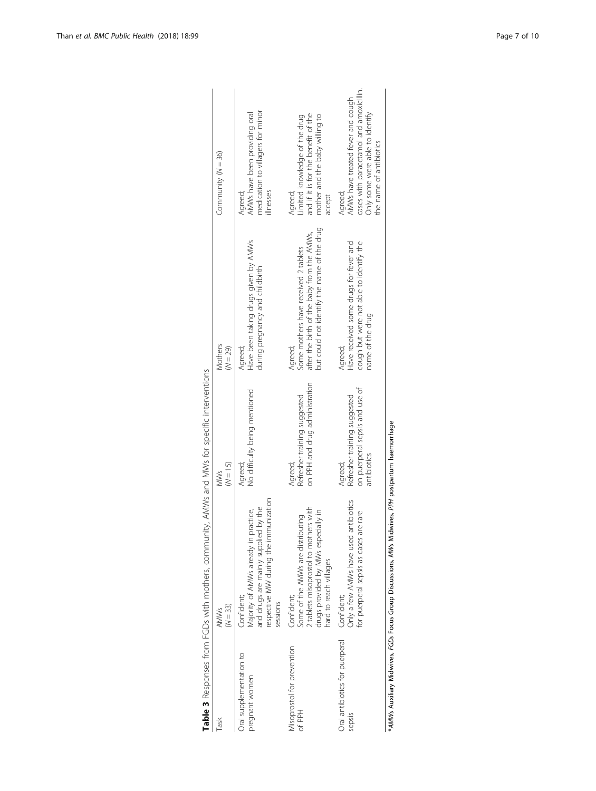<span id="page-8-0"></span>

| Agreed;<br>Agreed;<br>Agreed;<br>on PPH and drug administration<br>on puerperal sepsis and use of<br>No difficulty being mentioned<br>Refresher training suggested<br>Refresher training suggested<br>Agreed;<br>Agreed;<br>Agreed;<br>respective MW during the immunization<br>antibiotics<br>and drugs are mainly supplied by the<br>tablets misoprostol to mothers with<br>Majority of AMWs already in practice,<br>drugs provided by MWs especially in<br>re rare<br>Some of the AMWs are distributing<br>for puerperal sepsis as cases a<br>Only a few AMWs have used<br>hard to reach villages<br>Confident;<br>Confident;<br>Confident;<br>sessions<br>Oral antibiotics for puerperal<br>Misoprostol for prevention<br>Oral supplementation to<br>pregnant women<br>of PPH<br>sepsis | Mothers<br>$(N = 29)$                                                                                                             | Community $(N = 36)$                                                                                                                                  |
|---------------------------------------------------------------------------------------------------------------------------------------------------------------------------------------------------------------------------------------------------------------------------------------------------------------------------------------------------------------------------------------------------------------------------------------------------------------------------------------------------------------------------------------------------------------------------------------------------------------------------------------------------------------------------------------------------------------------------------------------------------------------------------------------|-----------------------------------------------------------------------------------------------------------------------------------|-------------------------------------------------------------------------------------------------------------------------------------------------------|
|                                                                                                                                                                                                                                                                                                                                                                                                                                                                                                                                                                                                                                                                                                                                                                                             | Have been taking drugs given by AMWs<br>during pregnancy and childbirth                                                           | medication to villagers for minor<br>AMWs have been providing oral<br>illnesses<br>Agreed;                                                            |
|                                                                                                                                                                                                                                                                                                                                                                                                                                                                                                                                                                                                                                                                                                                                                                                             | but could not identify the name of the drug<br>after the birth of the baby from the AMWs,<br>Some mothers have received 2 tablets | and if it is for the benefit of the<br>mother and the baby willing to<br>Limited knowledge of the drug<br>Agreed;<br>accept                           |
| hame of the drug<br>antibiotics                                                                                                                                                                                                                                                                                                                                                                                                                                                                                                                                                                                                                                                                                                                                                             | cough but were not able to identify the<br>Have received some drugs for fever and                                                 | cases with paracetamol and amoxicillin.<br>AMWs have treated fever and cough<br>Only some were able to identify<br>the name of antibiotics<br>Agreed; |

| s<br>S<br>l<br>Table 3 Responses from FGDs with mothers, community, AMWs and MWs for specific interventic |                                         |
|-----------------------------------------------------------------------------------------------------------|-----------------------------------------|
|                                                                                                           |                                         |
|                                                                                                           | ž<br>$\overline{\phantom{a}}$<br>i<br>I |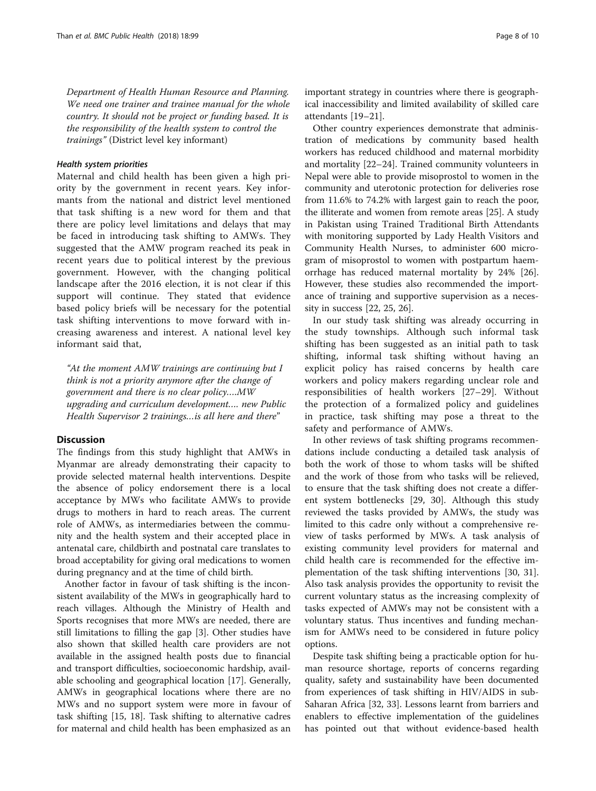Department of Health Human Resource and Planning. We need one trainer and trainee manual for the whole country. It should not be project or funding based. It is the responsibility of the health system to control the trainings" (District level key informant)

#### Health system priorities

Maternal and child health has been given a high priority by the government in recent years. Key informants from the national and district level mentioned that task shifting is a new word for them and that there are policy level limitations and delays that may be faced in introducing task shifting to AMWs. They suggested that the AMW program reached its peak in recent years due to political interest by the previous government. However, with the changing political landscape after the 2016 election, it is not clear if this support will continue. They stated that evidence based policy briefs will be necessary for the potential task shifting interventions to move forward with increasing awareness and interest. A national level key informant said that,

"At the moment AMW trainings are continuing but I think is not a priority anymore after the change of government and there is no clear policy….MW upgrading and curriculum development…. new Public Health Supervisor 2 trainings…is all here and there"

#### **Discussion**

The findings from this study highlight that AMWs in Myanmar are already demonstrating their capacity to provide selected maternal health interventions. Despite the absence of policy endorsement there is a local acceptance by MWs who facilitate AMWs to provide drugs to mothers in hard to reach areas. The current role of AMWs, as intermediaries between the community and the health system and their accepted place in antenatal care, childbirth and postnatal care translates to broad acceptability for giving oral medications to women during pregnancy and at the time of child birth.

Another factor in favour of task shifting is the inconsistent availability of the MWs in geographically hard to reach villages. Although the Ministry of Health and Sports recognises that more MWs are needed, there are still limitations to filling the gap [\[3](#page-11-0)]. Other studies have also shown that skilled health care providers are not available in the assigned health posts due to financial and transport difficulties, socioeconomic hardship, available schooling and geographical location [[17\]](#page-11-0). Generally, AMWs in geographical locations where there are no MWs and no support system were more in favour of task shifting [\[15](#page-11-0), [18\]](#page-11-0). Task shifting to alternative cadres for maternal and child health has been emphasized as an

important strategy in countries where there is geographical inaccessibility and limited availability of skilled care attendants [\[19](#page-11-0)–[21](#page-11-0)].

Other country experiences demonstrate that administration of medications by community based health workers has reduced childhood and maternal morbidity and mortality [\[22](#page-11-0)–[24\]](#page-11-0). Trained community volunteers in Nepal were able to provide misoprostol to women in the community and uterotonic protection for deliveries rose from 11.6% to 74.2% with largest gain to reach the poor, the illiterate and women from remote areas [[25\]](#page-11-0). A study in Pakistan using Trained Traditional Birth Attendants with monitoring supported by Lady Health Visitors and Community Health Nurses, to administer 600 microgram of misoprostol to women with postpartum haemorrhage has reduced maternal mortality by 24% [\[26](#page-11-0)]. However, these studies also recommended the importance of training and supportive supervision as a necessity in success [\[22](#page-11-0), [25](#page-11-0), [26](#page-11-0)].

In our study task shifting was already occurring in the study townships. Although such informal task shifting has been suggested as an initial path to task shifting, informal task shifting without having an explicit policy has raised concerns by health care workers and policy makers regarding unclear role and responsibilities of health workers [[27](#page-11-0)–[29](#page-11-0)]. Without the protection of a formalized policy and guidelines in practice, task shifting may pose a threat to the safety and performance of AMWs.

In other reviews of task shifting programs recommendations include conducting a detailed task analysis of both the work of those to whom tasks will be shifted and the work of those from who tasks will be relieved, to ensure that the task shifting does not create a different system bottlenecks [[29, 30\]](#page-11-0). Although this study reviewed the tasks provided by AMWs, the study was limited to this cadre only without a comprehensive review of tasks performed by MWs. A task analysis of existing community level providers for maternal and child health care is recommended for the effective implementation of the task shifting interventions [\[30](#page-11-0), [31](#page-11-0)]. Also task analysis provides the opportunity to revisit the current voluntary status as the increasing complexity of tasks expected of AMWs may not be consistent with a voluntary status. Thus incentives and funding mechanism for AMWs need to be considered in future policy options.

Despite task shifting being a practicable option for human resource shortage, reports of concerns regarding quality, safety and sustainability have been documented from experiences of task shifting in HIV/AIDS in sub-Saharan Africa [[32](#page-11-0), [33](#page-11-0)]. Lessons learnt from barriers and enablers to effective implementation of the guidelines has pointed out that without evidence-based health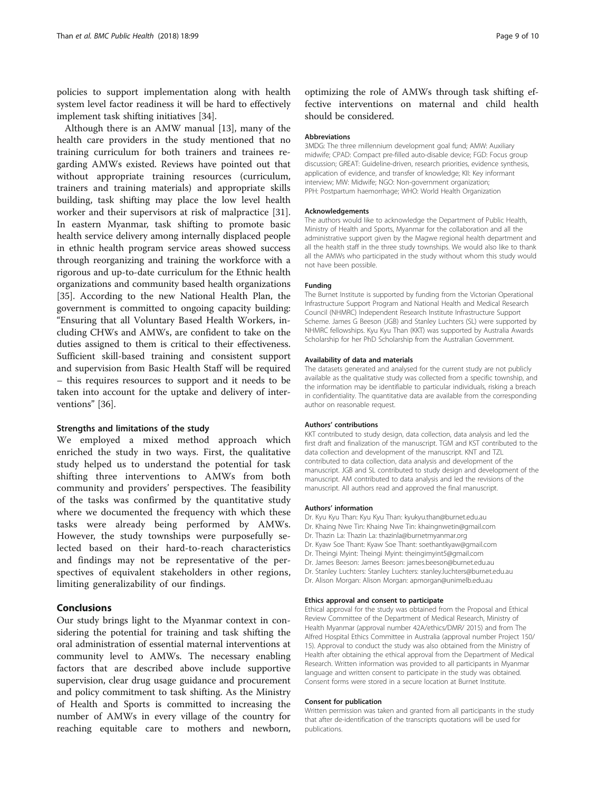policies to support implementation along with health system level factor readiness it will be hard to effectively implement task shifting initiatives [[34](#page-11-0)].

Although there is an AMW manual [\[13](#page-11-0)], many of the health care providers in the study mentioned that no training curriculum for both trainers and trainees regarding AMWs existed. Reviews have pointed out that without appropriate training resources (curriculum, trainers and training materials) and appropriate skills building, task shifting may place the low level health worker and their supervisors at risk of malpractice [\[31](#page-11-0)]. In eastern Myanmar, task shifting to promote basic health service delivery among internally displaced people in ethnic health program service areas showed success through reorganizing and training the workforce with a rigorous and up-to-date curriculum for the Ethnic health organizations and community based health organizations [[35\]](#page-11-0). According to the new National Health Plan, the government is committed to ongoing capacity building: "Ensuring that all Voluntary Based Health Workers, including CHWs and AMWs, are confident to take on the duties assigned to them is critical to their effectiveness. Sufficient skill-based training and consistent support and supervision from Basic Health Staff will be required – this requires resources to support and it needs to be taken into account for the uptake and delivery of interventions" [[36\]](#page-11-0).

#### Strengths and limitations of the study

We employed a mixed method approach which enriched the study in two ways. First, the qualitative study helped us to understand the potential for task shifting three interventions to AMWs from both community and providers' perspectives. The feasibility of the tasks was confirmed by the quantitative study where we documented the frequency with which these tasks were already being performed by AMWs. However, the study townships were purposefully selected based on their hard-to-reach characteristics and findings may not be representative of the perspectives of equivalent stakeholders in other regions, limiting generalizability of our findings.

#### Conclusions

Our study brings light to the Myanmar context in considering the potential for training and task shifting the oral administration of essential maternal interventions at community level to AMWs. The necessary enabling factors that are described above include supportive supervision, clear drug usage guidance and procurement and policy commitment to task shifting. As the Ministry of Health and Sports is committed to increasing the number of AMWs in every village of the country for reaching equitable care to mothers and newborn,

optimizing the role of AMWs through task shifting effective interventions on maternal and child health should be considered.

#### Abbreviations

3MDG: The three millennium development goal fund; AMW: Auxiliary midwife; CPAD: Compact pre-filled auto-disable device; FGD: Focus group discussion; GREAT: Guideline-driven, research priorities, evidence synthesis, application of evidence, and transfer of knowledge; KII: Key informant interview; MW: Midwife; NGO: Non-government organization; PPH: Postpartum haemorrhage; WHO: World Health Organization

#### Acknowledgements

The authors would like to acknowledge the Department of Public Health, Ministry of Health and Sports, Myanmar for the collaboration and all the administrative support given by the Magwe regional health department and all the health staff in the three study townships. We would also like to thank all the AMWs who participated in the study without whom this study would not have been possible.

#### Funding

The Burnet Institute is supported by funding from the Victorian Operational Infrastructure Support Program and National Health and Medical Research Council (NHMRC) Independent Research Institute Infrastructure Support Scheme. James G Beeson (JGB) and Stanley Luchters (SL) were supported by NHMRC fellowships. Kyu Kyu Than (KKT) was supported by Australia Awards Scholarship for her PhD Scholarship from the Australian Government.

#### Availability of data and materials

The datasets generated and analysed for the current study are not publicly available as the qualitative study was collected from a specific township, and the information may be identifiable to particular individuals, risking a breach in confidentiality. The quantitative data are available from the corresponding author on reasonable request.

#### Authors' contributions

KKT contributed to study design, data collection, data analysis and led the first draft and finalization of the manuscript. TGM and KST contributed to the data collection and development of the manuscript. KNT and TZL contributed to data collection, data analysis and development of the manuscript. JGB and SL contributed to study design and development of the manuscript. AM contributed to data analysis and led the revisions of the manuscript. All authors read and approved the final manuscript.

#### Authors' information

- Dr. Kyu Kyu Than: Kyu Kyu Than: kyukyu.than@burnet.edu.au
- Dr. Khaing Nwe Tin: Khaing Nwe Tin: khaingnwetin@gmail.com
- Dr. Thazin La: Thazin La: thazinla@burnetmyanmar.org
- Dr. Kyaw Soe Thant: Kyaw Soe Thant: soethantkyaw@gmail.com
- Dr. Theingi Myint: Theingi Myint: theingimyint5@gmail.com
- Dr. James Beeson: James Beeson: james.beeson@burnet.edu.au
- Dr. Stanley Luchters: Stanley Luchters: stanley.luchters@burnet.edu.au
- Dr. Alison Morgan: Alison Morgan: apmorgan@unimelb.edu.au

#### Ethics approval and consent to participate

Ethical approval for the study was obtained from the Proposal and Ethical Review Committee of the Department of Medical Research, Ministry of Health Myanmar (approval number 42A/ethics/DMR/ 2015) and from The Alfred Hospital Ethics Committee in Australia (approval number Project 150/ 15). Approval to conduct the study was also obtained from the Ministry of Health after obtaining the ethical approval from the Department of Medical Research. Written information was provided to all participants in Myanmar language and written consent to participate in the study was obtained. Consent forms were stored in a secure location at Burnet Institute.

#### Consent for publication

Written permission was taken and granted from all participants in the study that after de-identification of the transcripts quotations will be used for publications.